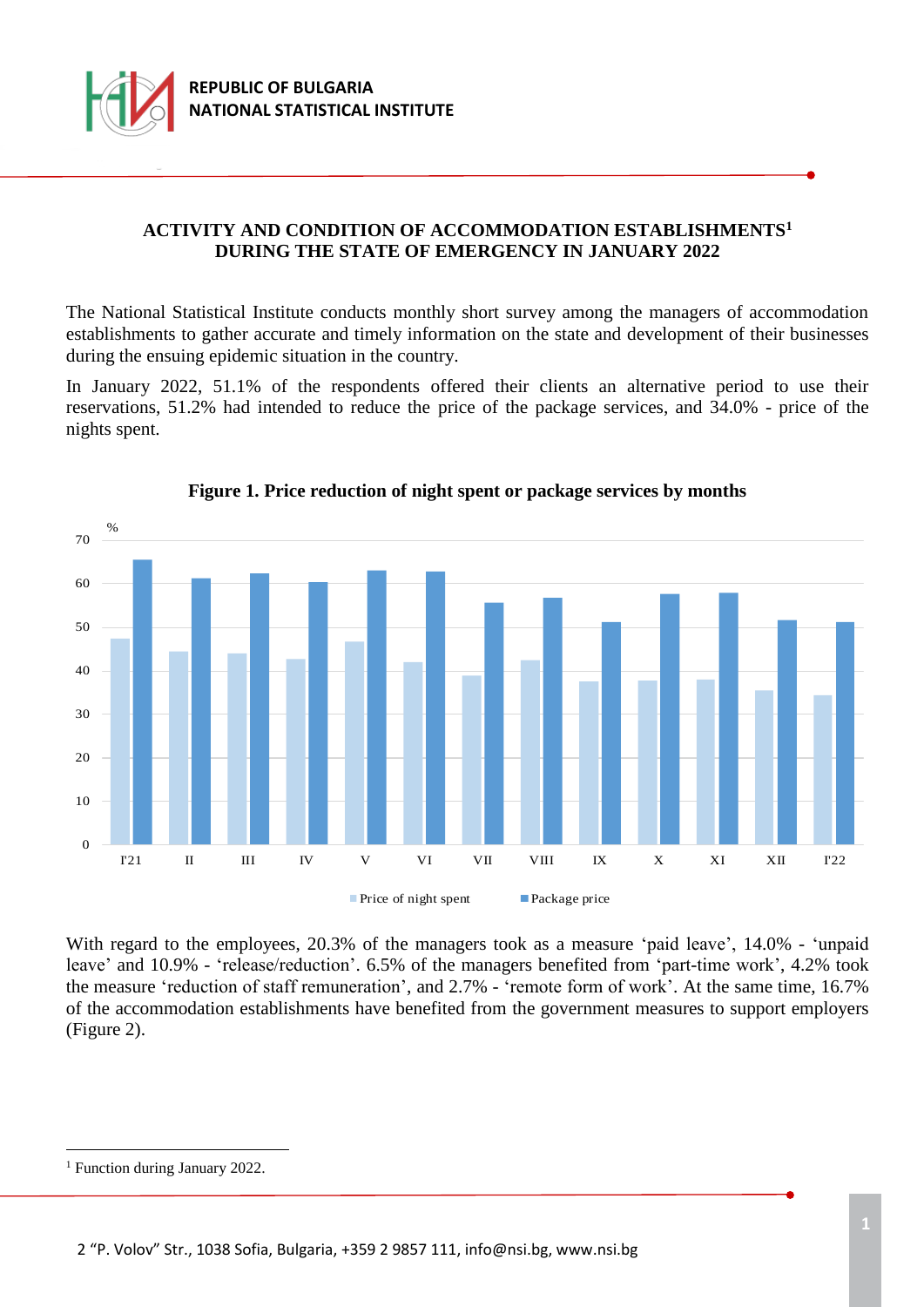

## **ACTIVITY AND CONDITION OF ACCOMMODATION ESTABLISHMENTS<sup>1</sup> DURING THE STATE OF EMERGENCY IN JANUARY 2022**

The National Statistical Institute conducts monthly short survey among the managers of accommodation establishments to gather accurate and timely information on the state and development of their businesses during the ensuing epidemic situation in the country.

In January 2022, 51.1% of the respondents offered their clients an alternative period to use their reservations, 51.2% had intended to reduce the price of the package services, and 34.0% - price of the nights spent.



## **Figure 1. Price reduction of night spent or package services by months**

With regard to the employees, 20.3% of the managers took as a measure 'paid leave', 14.0% - 'unpaid leave' and 10.9% - 'release/reduction'. 6.5% of the managers benefited from 'part-time work', 4.2% took the measure 'reduction of staff remuneration', and 2.7% - 'remote form of work'. At the same time, 16.7% of the accommodation establishments have benefited from the government measures to support employers (Figure 2).

i<br>L

<sup>&</sup>lt;sup>1</sup> Function during January 2022.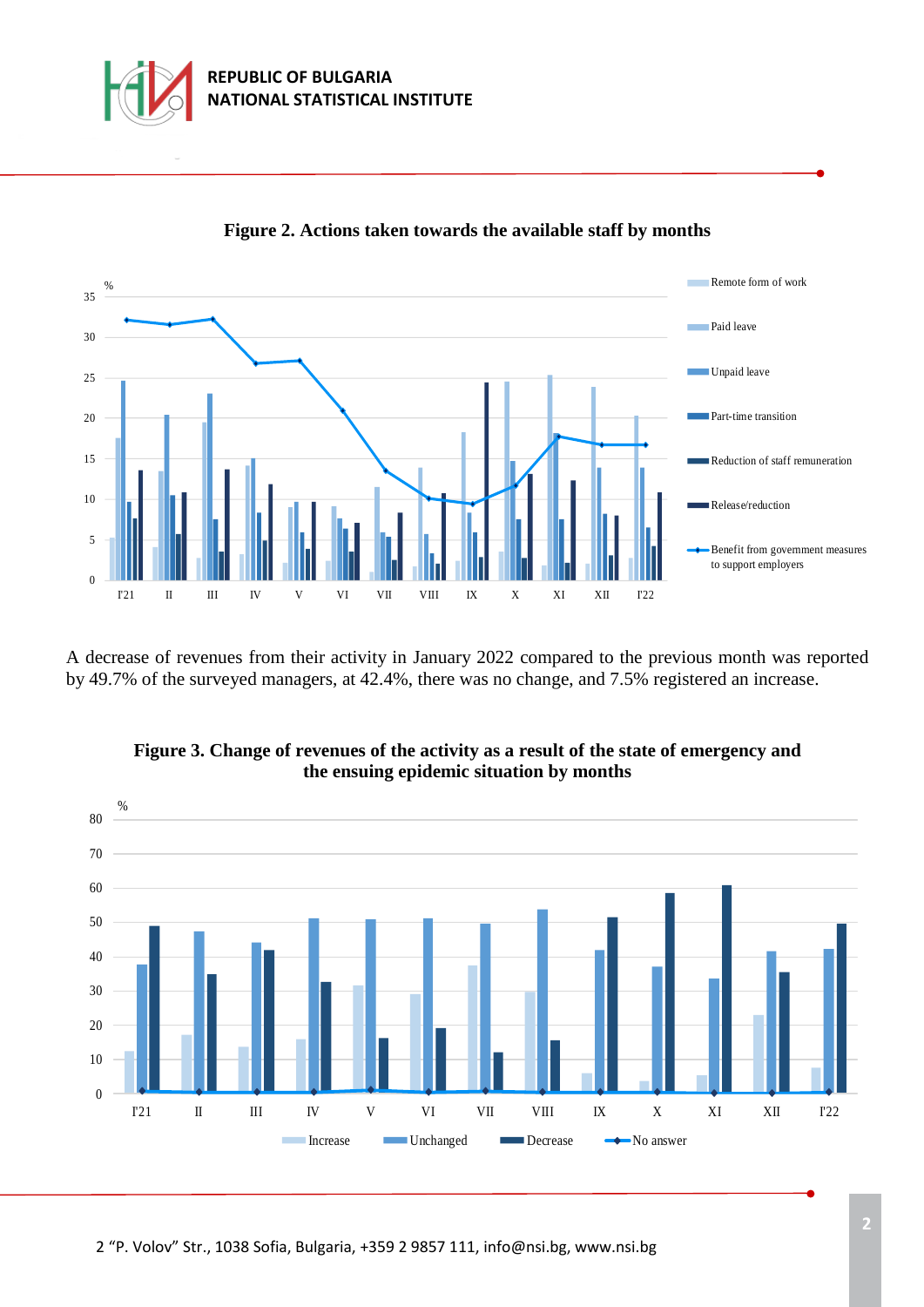



**Figure 2. Actions taken towards the available staff by months**

A decrease of revenues from their activity in January 2022 compared to the previous month was reported by 49.7% of the surveyed managers, at 42.4%, there was no change, and 7.5% registered an increase.



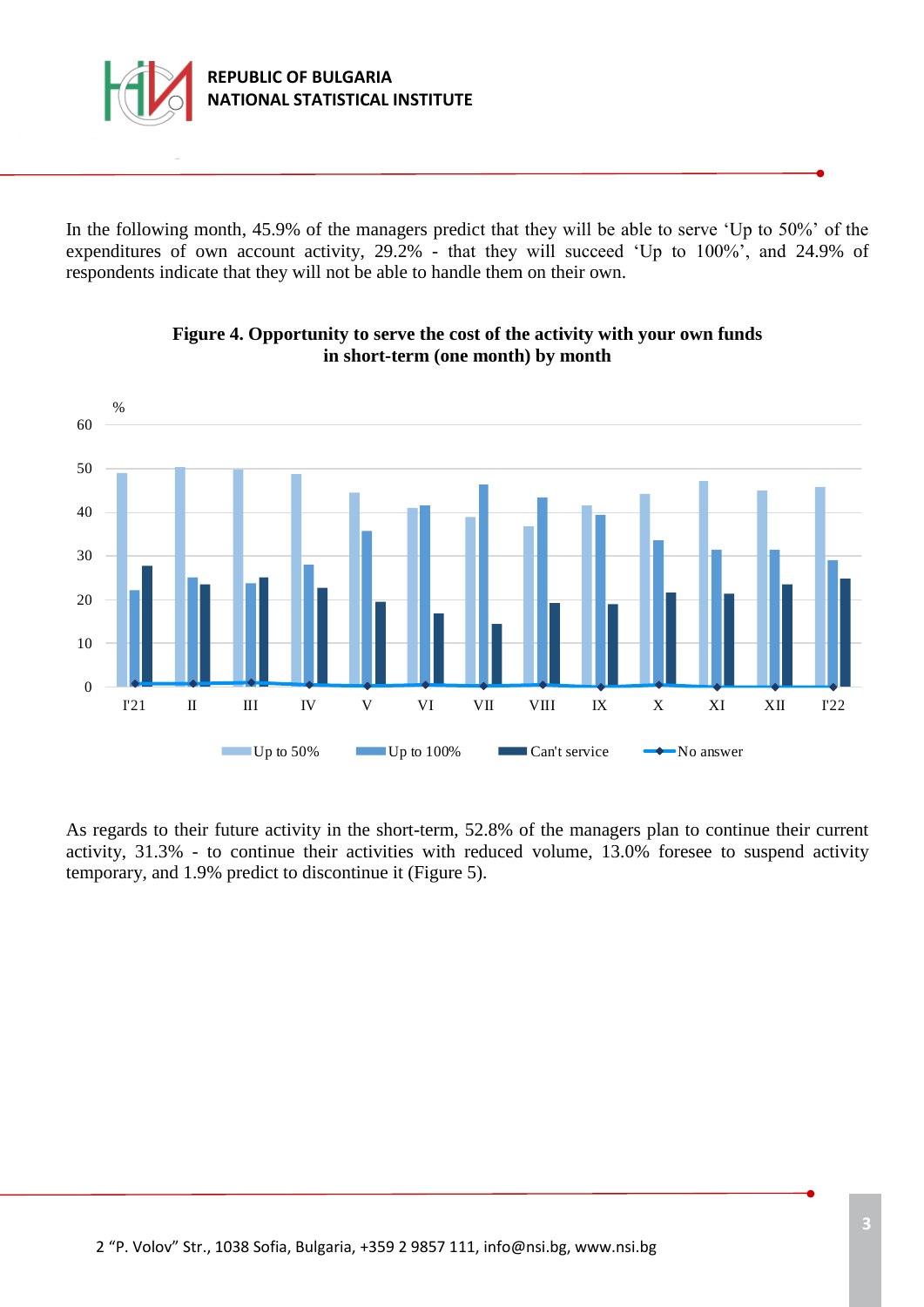

In the following month, 45.9% of the managers predict that they will be able to serve 'Up to 50%' of the expenditures of own account activity, 29.2% - that they will succeed 'Up to 100%', and 24.9% of respondents indicate that they will not be able to handle them on their own.



## **Figure 4. Opportunity to serve the cost of the activity with your own funds in short-term (one month) by month**

As regards to their future activity in the short-term, 52.8% of the managers plan to continue their current activity, 31.3% - to continue their activities with reduced volume, 13.0% foresee to suspend activity temporary, and 1.9% predict to discontinue it (Figure 5).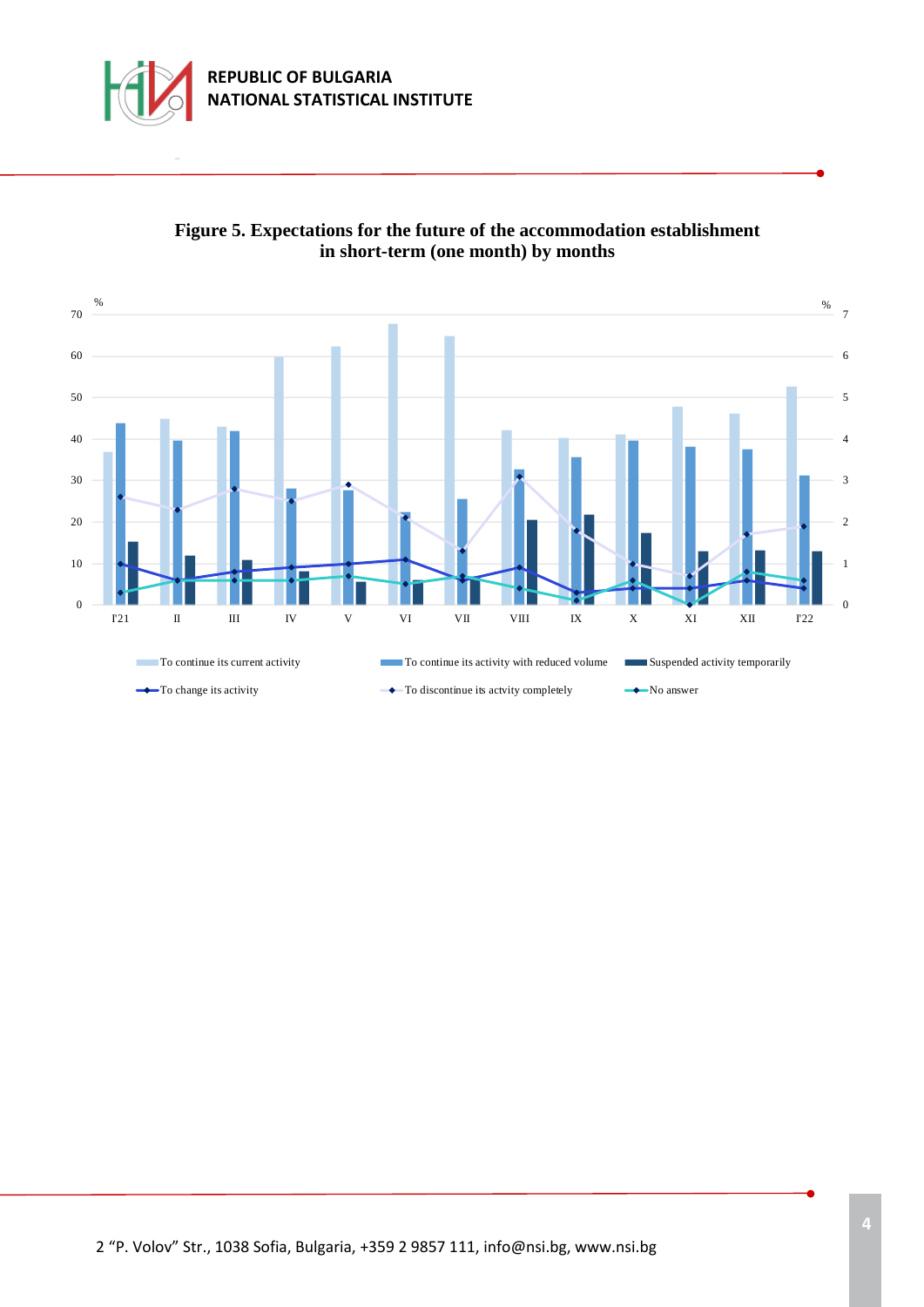



**Figure 5. Expectations for the future of the accommodation establishment in short-term (one month) by months**